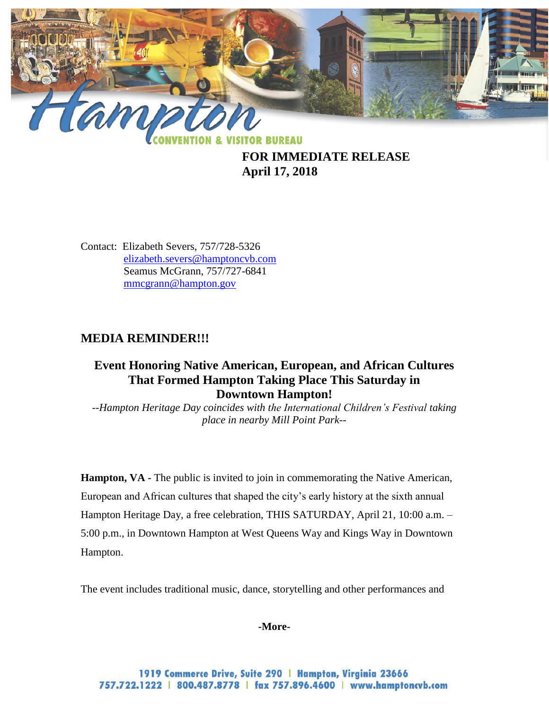

**FOR IMMEDIATE RELEASE April 17, 2018**

Contact: Elizabeth Severs, 757/728-5326 [elizabeth.severs@hamptoncvb.com](mailto:elizabeth.severs@hamptoncvb.com) Seamus McGrann, 757/727-6841 [mmcgrann@hampton.gov](mailto:mmcgrann@hampton.gov)

# **MEDIA REMINDER!!!**

## **Event Honoring Native American, European, and African Cultures That Formed Hampton Taking Place This Saturday in Downtown Hampton!**

*--Hampton Heritage Day coincides with the International Children's Festival taking place in nearby Mill Point Park--*

**Hampton, VA -** The public is invited to join in commemorating the Native American, European and African cultures that shaped the city's early history at the sixth annual Hampton Heritage Day, a free celebration, THIS SATURDAY, April 21, 10:00 a.m. – 5:00 p.m., in Downtown Hampton at West Queens Way and Kings Way in Downtown Hampton.

The event includes traditional music, dance, storytelling and other performances and

**-More-**

1919 Commerce Drive, Suite 290 | Hampton, Virginia 23666 757.722.1222 | 800.487.8778 | fax 757.896.4600 | www.hamptoncvb.com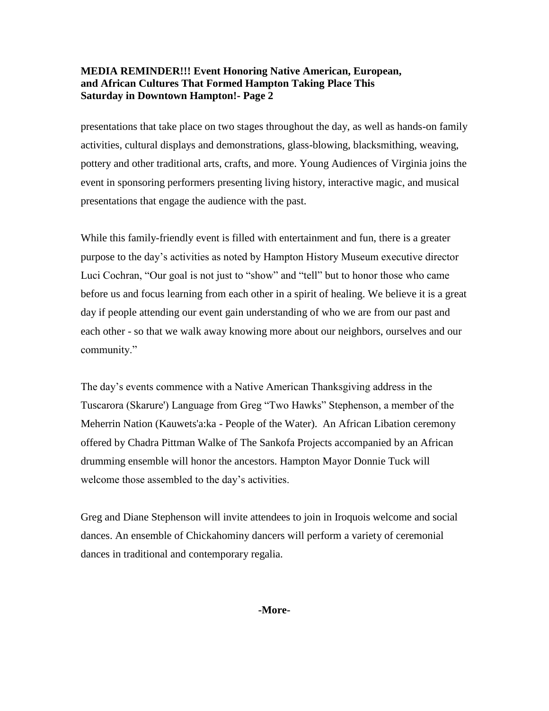### **MEDIA REMINDER!!! Event Honoring Native American, European, and African Cultures That Formed Hampton Taking Place This Saturday in Downtown Hampton!- Page 2**

presentations that take place on two stages throughout the day, as well as hands-on family activities, cultural displays and demonstrations, glass-blowing, blacksmithing, weaving, pottery and other traditional arts, crafts, and more. Young Audiences of Virginia joins the event in sponsoring performers presenting living history, interactive magic, and musical presentations that engage the audience with the past.

While this family-friendly event is filled with entertainment and fun, there is a greater purpose to the day's activities as noted by Hampton History Museum executive director Luci Cochran, "Our goal is not just to "show" and "tell" but to honor those who came before us and focus learning from each other in a spirit of healing. We believe it is a great day if people attending our event gain understanding of who we are from our past and each other - so that we walk away knowing more about our neighbors, ourselves and our community."

The day's events commence with a Native American Thanksgiving address in the Tuscarora (Skarure') Language from Greg "Two Hawks" Stephenson, a member of the Meherrin Nation (Kauwets'a:ka - People of the Water). An African Libation ceremony offered by Chadra Pittman Walke of The Sankofa Projects accompanied by an African drumming ensemble will honor the ancestors. Hampton Mayor Donnie Tuck will welcome those assembled to the day's activities.

Greg and Diane Stephenson will invite attendees to join in Iroquois welcome and social dances. An ensemble of Chickahominy dancers will perform a variety of ceremonial dances in traditional and contemporary regalia.

**-More-**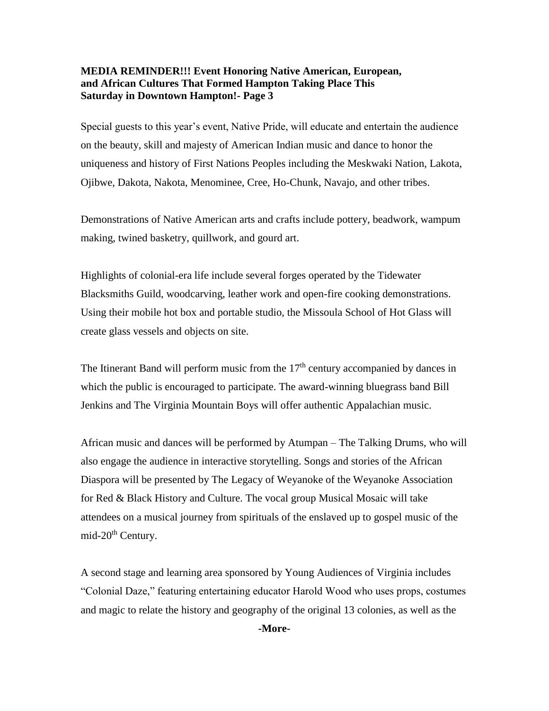#### **MEDIA REMINDER!!! Event Honoring Native American, European, and African Cultures That Formed Hampton Taking Place This Saturday in Downtown Hampton!- Page 3**

Special guests to this year's event, Native Pride, will educate and entertain the audience on the beauty, skill and majesty of American Indian music and dance to honor the uniqueness and history of First Nations Peoples including the Meskwaki Nation, Lakota, Ojibwe, Dakota, Nakota, Menominee, Cree, Ho-Chunk, Navajo, and other tribes.

Demonstrations of Native American arts and crafts include pottery, beadwork, wampum making, twined basketry, quillwork, and gourd art.

Highlights of colonial-era life include several forges operated by the Tidewater Blacksmiths Guild, woodcarving, leather work and open-fire cooking demonstrations. Using their mobile hot box and portable studio, the Missoula School of Hot Glass will create glass vessels and objects on site.

The Itinerant Band will perform music from the  $17<sup>th</sup>$  century accompanied by dances in which the public is encouraged to participate. The award-winning bluegrass band Bill Jenkins and The Virginia Mountain Boys will offer authentic Appalachian music.

African music and dances will be performed by Atumpan – The Talking Drums, who will also engage the audience in interactive storytelling. Songs and stories of the African Diaspora will be presented by The Legacy of Weyanoke of the Weyanoke Association for Red & Black History and Culture. The vocal group Musical Mosaic will take attendees on a musical journey from spirituals of the enslaved up to gospel music of the mid-20<sup>th</sup> Century.

A second stage and learning area sponsored by Young Audiences of Virginia includes "Colonial Daze," featuring entertaining educator Harold Wood who uses props, costumes and magic to relate the history and geography of the original 13 colonies, as well as the

**-More-**